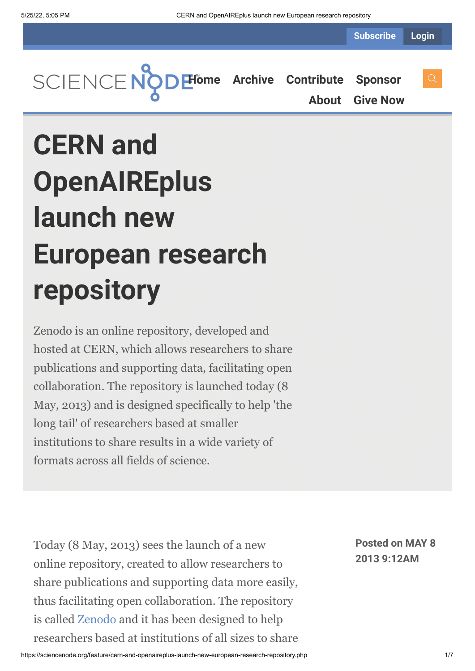**Subscribe Login**



**[About](https://sciencenode.org/about/index.php) [Give Now](https://sciencenode.org/donate/index.php)**

**CERN and OpenAIREplus launch new European research repository**

Zenodo is an online repository, developed and hosted at CERN, which allows researchers to share publications and supporting data, facilitating open collaboration. The repository is launched today (8 May, 2013) and is designed specifically to help 'the long tail' of researchers based at smaller institutions to share results in a wide variety of formats across all fields of science.

Today (8 May, 2013) sees the launch of a new online repository, created to allow researchers to share publications and supporting data more easily, thus facilitating open collaboration. The repository is called [Zenodo](https://zenodo.org/) and it has been designed to help researchers based at institutions of all sizes to share **Posted on MAY 8 2013 9:12AM**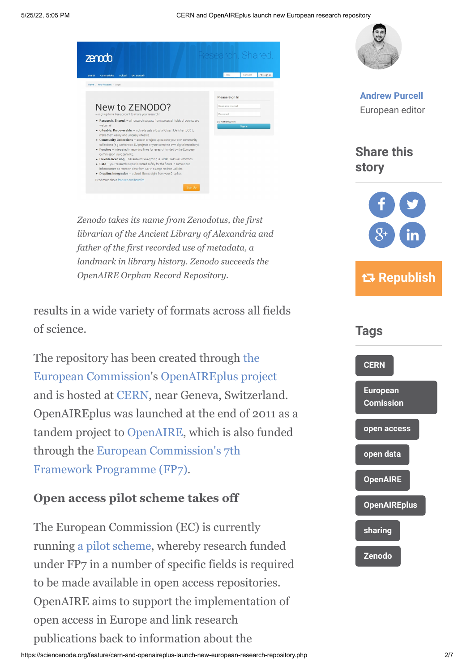



**[Andrew Purcell](https://sciencenode.org/author/andrew-purcell.php)** European editor

**Share this story**



*librarian of the Ancient Library of Alexandria and father of the first recorded use of metadata, a landmark in library history. Zenodo succeeds the OpenAIRE Orphan Record Repository.*

*Zenodo takes its name from Zenodotus, the first*

results in a wide variety of formats across all fields of science.

The repository has been created through the [European Commission's OpenAIREplus pro](http://ec.europa.eu/)[ject](http://www.openaire.eu/en/component/content/article/326-openaireplus-press-release) and is hosted at [CERN,](http://www.cern.ch/) near Geneva, Switzerland. OpenAIREplus was launched at the end of 2011 as a tandem project to [OpenAIRE,](http://www.openaire.eu/en/home) which is also funded [through the European Commission's 7th](http://cordis.europa.eu/fp7/home_en.html) Framework Programme (FP7).

## **Open access pilot scheme takes off**

The European Commission (EC) is currently running [a pilot scheme,](http://www.openaire.eu/component/attachments/download/4.html) whereby research funded under FP7 in a number of specific fields is required to be made available in open access repositories. OpenAIRE aims to support the implementation of open access in Europe and link research publications back to information about the

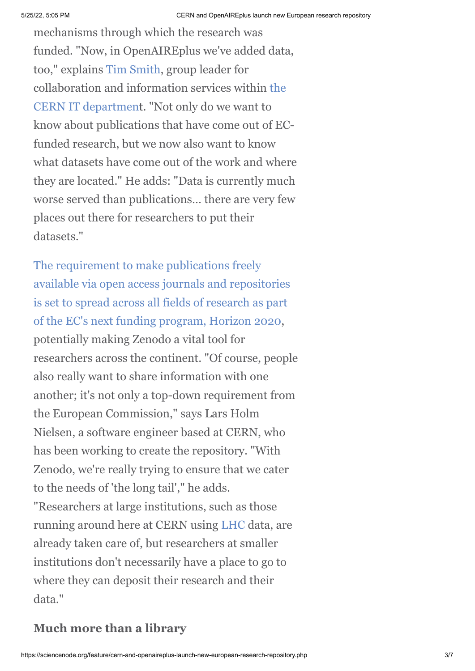mechanisms through which the research was funded. "Now, in OpenAIREplus we've added data, too," explains [Tim Smith](http://tjs.web.cern.ch/tjs/), group leader for [collaboration and information services within the](http://information-technology.web.cern.ch/) CERN IT department. "Not only do we want to know about publications that have come out of ECfunded research, but we now also want to know what datasets have come out of the work and where they are located." He adds: "Data is currently much worse served than publications… there are very few places out there for researchers to put their datasets."

The requirement to make publications freely [available via open access journals and repositories](http://europa.eu/rapid/press-release_IP-12-790_en.htm) is set to spread across all fields of research as part of the EC's next funding program, Horizon 2020, potentially making Zenodo a vital tool for researchers across the continent. "Of course, people also really want to share information with one another; it's not only a top-down requirement from the European Commission," says Lars Holm Nielsen, a software engineer based at CERN, who has been working to create the repository. "With Zenodo, we're really trying to ensure that we cater to the needs of 'the long tail'," he adds. "Researchers at large institutions, such as those running around here at CERN using [LHC](http://home.web.cern.ch/about/accelerators/large-hadron-collider) data, are already taken care of, but researchers at smaller institutions don't necessarily have a place to go to where they can deposit their research and their data."

## **Much more than a library**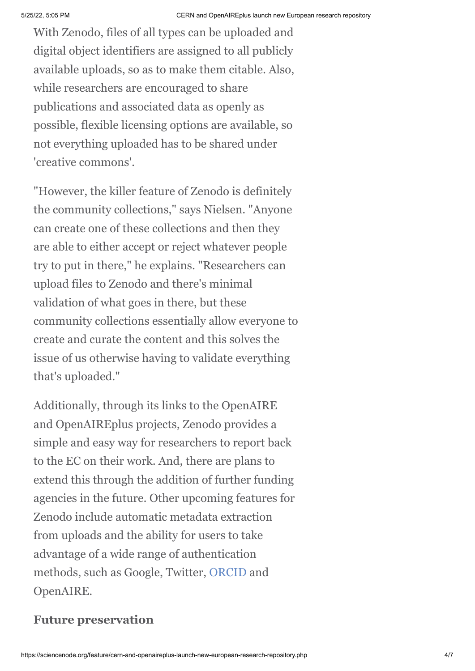With Zenodo, files of all types can be uploaded and digital object identifiers are assigned to all publicly available uploads, so as to make them citable. Also, while researchers are encouraged to share publications and associated data as openly as possible, flexible licensing options are available, so not everything uploaded has to be shared under 'creative commons'.

"However, the killer feature of Zenodo is definitely the community collections," says Nielsen. "Anyone can create one of these collections and then they are able to either accept or reject whatever people try to put in there," he explains. "Researchers can upload files to Zenodo and there's minimal validation of what goes in there, but these community collections essentially allow everyone to create and curate the content and this solves the issue of us otherwise having to validate everything that's uploaded."

Additionally, through its links to the OpenAIRE and OpenAIREplus projects, Zenodo provides a simple and easy way for researchers to report back to the EC on their work. And, there are plans to extend this through the addition of further funding agencies in the future. Other upcoming features for Zenodo include automatic metadata extraction from uploads and the ability for users to take advantage of a wide range of authentication methods, such as Google, Twitter, [ORCID](http://orcid.org/) and OpenAIRE.

## **Future preservation**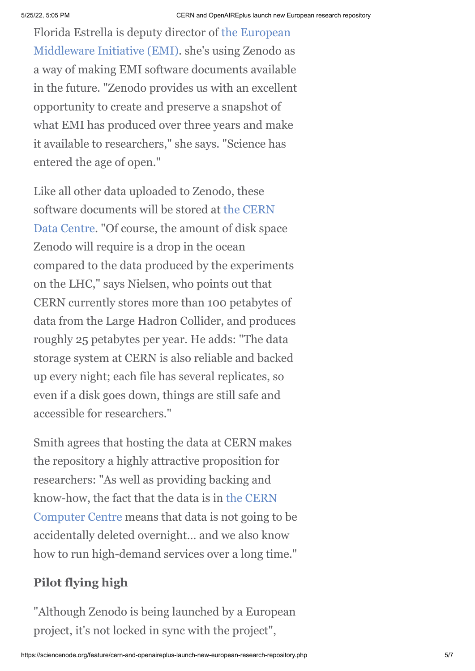[Florida Estrella is deputy director of the European](http://www.eu-emi.eu/) Middleware Initiative (EMI). she's using Zenodo as a way of making EMI software documents available in the future. "Zenodo provides us with an excellent opportunity to create and preserve a snapshot of what EMI has produced over three years and make it available to researchers," she says. "Science has entered the age of open."

Like all other data uploaded to Zenodo, these [software documents will be stored at the CERN](http://information-technology.web.cern.ch/about/computer-centre) Data Centre. "Of course, the amount of disk space Zenodo will require is a drop in the ocean compared to the data produced by the experiments on the LHC," says Nielsen, who points out that CERN currently stores more than 100 petabytes of data from the Large Hadron Collider, and produces roughly 25 petabytes per year. He adds: "The data storage system at CERN is also reliable and backed up every night; each file has several replicates, so even if a disk goes down, things are still safe and accessible for researchers."

Smith agrees that hosting the data at CERN makes the repository a highly attractive proposition for researchers: "As well as providing backing and [know-how, the fact that the data is in the CERN](http://information-technology.web.cern.ch/about/computer-centre) Computer Centre means that data is not going to be accidentally deleted overnight… and we also know how to run high-demand services over a long time."

## **Pilot flying high**

"Although Zenodo is being launched by a European project, it's not locked in sync with the project",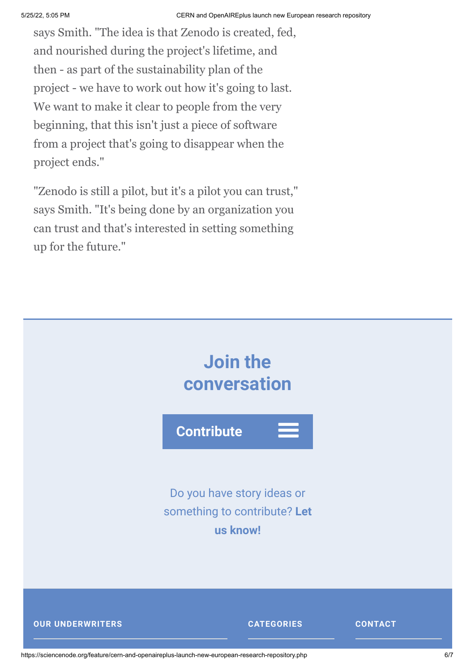says Smith. "The idea is that Zenodo is created, fed, and nourished during the project's lifetime, and then - as part of the sustainability plan of the project - we have to work out how it's going to last. We want to make it clear to people from the very beginning, that this isn't just a piece of software from a project that's going to disappear when the project ends."

"Zenodo is still a pilot, but it's a pilot you can trust," says Smith. "It's being done by an organization you can trust and that's interested in setting something up for the future."